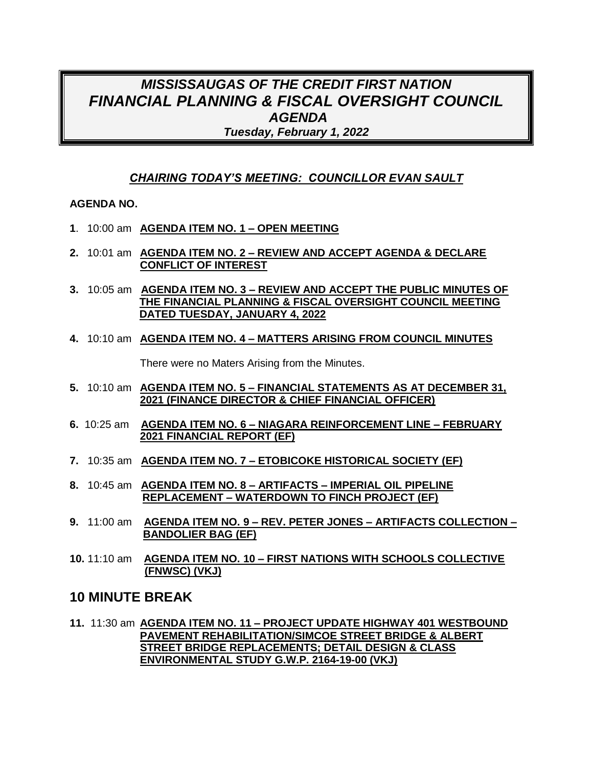## *MISSISSAUGAS OF THE CREDIT FIRST NATION FINANCIAL PLANNING & FISCAL OVERSIGHT COUNCIL AGENDA Tuesday, February 1, 2022*

## *CHAIRING TODAY'S MEETING: COUNCILLOR EVAN SAULT*

### **AGENDA NO.**

- **1**. 10:00 am **AGENDA ITEM NO. 1 – OPEN MEETING**
- **2.** 10:01 am **AGENDA ITEM NO. 2 – REVIEW AND ACCEPT AGENDA & DECLARE CONFLICT OF INTEREST**
- **3.** 10:05 am **AGENDA ITEM NO. 3 – REVIEW AND ACCEPT THE PUBLIC MINUTES OF THE FINANCIAL PLANNING & FISCAL OVERSIGHT COUNCIL MEETING DATED TUESDAY, JANUARY 4, 2022**
- **4.** 10:10 am **AGENDA ITEM NO. 4 – MATTERS ARISING FROM COUNCIL MINUTES**

There were no Maters Arising from the Minutes.

- **5.** 10:10 am **AGENDA ITEM NO. 5 – FINANCIAL STATEMENTS AS AT DECEMBER 31, 2021 (FINANCE DIRECTOR & CHIEF FINANCIAL OFFICER)**
- **6.** 10:25 am **AGENDA ITEM NO. 6 – NIAGARA REINFORCEMENT LINE – FEBRUARY 2021 FINANCIAL REPORT (EF)**
- **7.** 10:35 am **AGENDA ITEM NO. 7 – ETOBICOKE HISTORICAL SOCIETY (EF)**
- **8.** 10:45 am **AGENDA ITEM NO. 8 – ARTIFACTS – IMPERIAL OIL PIPELINE REPLACEMENT – WATERDOWN TO FINCH PROJECT (EF)**
- **9.** 11:00 am **AGENDA ITEM NO. 9 – REV. PETER JONES – ARTIFACTS COLLECTION – BANDOLIER BAG (EF)**
- **10.** 11:10 am **AGENDA ITEM NO. 10 – FIRST NATIONS WITH SCHOOLS COLLECTIVE (FNWSC) (VKJ)**

## **10 MINUTE BREAK**

**11.** 11:30 am **AGENDA ITEM NO. 11 – PROJECT UPDATE HIGHWAY 401 WESTBOUND PAVEMENT REHABILITATION/SIMCOE STREET BRIDGE & ALBERT STREET BRIDGE REPLACEMENTS; DETAIL DESIGN & CLASS ENVIRONMENTAL STUDY G.W.P. 2164-19-00 (VKJ)**